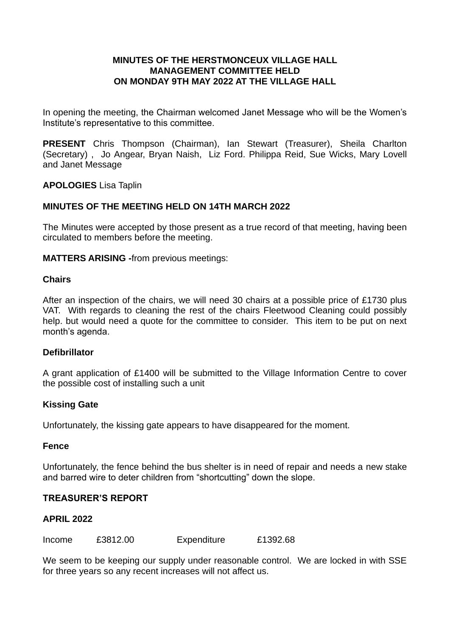## **MINUTES OF THE HERSTMONCEUX VILLAGE HALL MANAGEMENT COMMITTEE HELD ON MONDAY 9TH MAY 2022 AT THE VILLAGE HALL**

In opening the meeting, the Chairman welcomed Janet Message who will be the Women's Institute's representative to this committee.

**PRESENT** Chris Thompson (Chairman), Ian Stewart (Treasurer), Sheila Charlton (Secretary) , Jo Angear, Bryan Naish, Liz Ford. Philippa Reid, Sue Wicks, Mary Lovell and Janet Message

**APOLOGIES** Lisa Taplin

## **MINUTES OF THE MEETING HELD ON 14TH MARCH 2022**

The Minutes were accepted by those present as a true record of that meeting, having been circulated to members before the meeting.

**MATTERS ARISING -**from previous meetings:

#### **Chairs**

After an inspection of the chairs, we will need 30 chairs at a possible price of £1730 plus VAT. With regards to cleaning the rest of the chairs Fleetwood Cleaning could possibly help. but would need a quote for the committee to consider. This item to be put on next month's agenda.

## **Defibrillator**

A grant application of £1400 will be submitted to the Village Information Centre to cover the possible cost of installing such a unit

## **Kissing Gate**

Unfortunately, the kissing gate appears to have disappeared for the moment.

#### **Fence**

Unfortunately, the fence behind the bus shelter is in need of repair and needs a new stake and barred wire to deter children from "shortcutting" down the slope.

#### **TREASURER'S REPORT**

## **APRIL 2022**

Income £3812.00 Expenditure £1392.68

We seem to be keeping our supply under reasonable control. We are locked in with SSE for three years so any recent increases will not affect us.